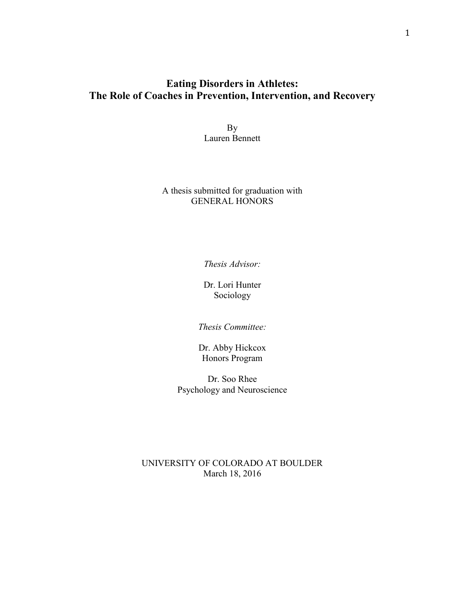# **Eating Disorders in Athletes: The Role of Coaches in Prevention, Intervention, and Recovery**

By Lauren Bennett

## A thesis submitted for graduation with GENERAL HONORS

*Thesis Advisor:*

Dr. Lori Hunter Sociology

*Thesis Committee:*

Dr. Abby Hickcox Honors Program

Dr. Soo Rhee Psychology and Neuroscience

## UNIVERSITY OF COLORADO AT BOULDER March 18, 2016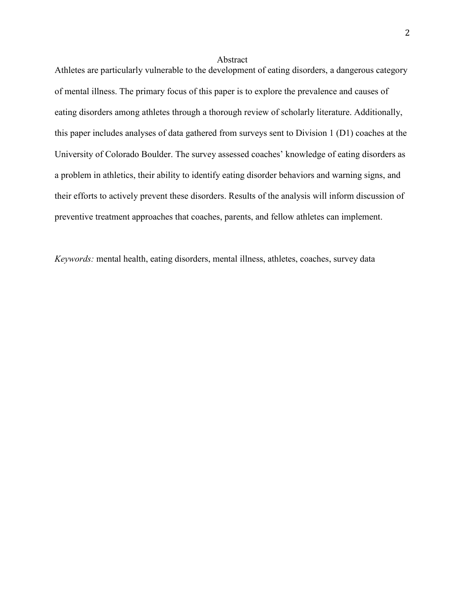#### Abstract

Athletes are particularly vulnerable to the development of eating disorders, a dangerous category of mental illness. The primary focus of this paper is to explore the prevalence and causes of eating disorders among athletes through a thorough review of scholarly literature. Additionally, this paper includes analyses of data gathered from surveys sent to Division 1 (D1) coaches at the University of Colorado Boulder. The survey assessed coaches' knowledge of eating disorders as a problem in athletics, their ability to identify eating disorder behaviors and warning signs, and their efforts to actively prevent these disorders. Results of the analysis will inform discussion of preventive treatment approaches that coaches, parents, and fellow athletes can implement.

*Keywords:* mental health, eating disorders, mental illness, athletes, coaches, survey data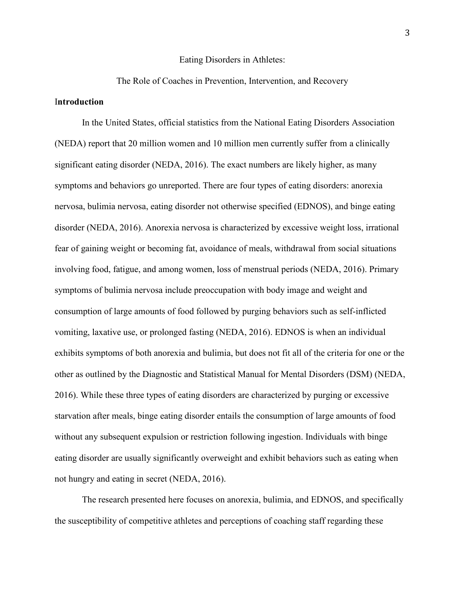#### Eating Disorders in Athletes:

## The Role of Coaches in Prevention, Intervention, and Recovery

### I**ntroduction**

In the United States, official statistics from the National Eating Disorders Association (NEDA) report that 20 million women and 10 million men currently suffer from a clinically significant eating disorder (NEDA, 2016). The exact numbers are likely higher, as many symptoms and behaviors go unreported. There are four types of eating disorders: anorexia nervosa, bulimia nervosa, eating disorder not otherwise specified (EDNOS), and binge eating disorder (NEDA, 2016). Anorexia nervosa is characterized by excessive weight loss, irrational fear of gaining weight or becoming fat, avoidance of meals, withdrawal from social situations involving food, fatigue, and among women, loss of menstrual periods (NEDA, 2016). Primary symptoms of bulimia nervosa include preoccupation with body image and weight and consumption of large amounts of food followed by purging behaviors such as self-inflicted vomiting, laxative use, or prolonged fasting (NEDA, 2016). EDNOS is when an individual exhibits symptoms of both anorexia and bulimia, but does not fit all of the criteria for one or the other as outlined by the Diagnostic and Statistical Manual for Mental Disorders (DSM) (NEDA, 2016). While these three types of eating disorders are characterized by purging or excessive starvation after meals, binge eating disorder entails the consumption of large amounts of food without any subsequent expulsion or restriction following ingestion. Individuals with binge eating disorder are usually significantly overweight and exhibit behaviors such as eating when not hungry and eating in secret (NEDA, 2016).

The research presented here focuses on anorexia, bulimia, and EDNOS, and specifically the susceptibility of competitive athletes and perceptions of coaching staff regarding these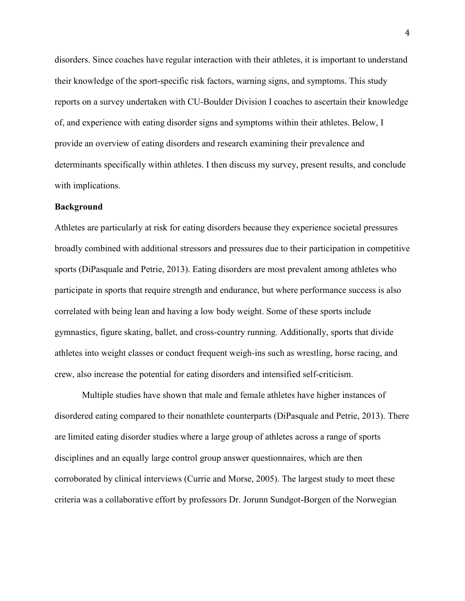disorders. Since coaches have regular interaction with their athletes, it is important to understand their knowledge of the sport-specific risk factors, warning signs, and symptoms. This study reports on a survey undertaken with CU-Boulder Division I coaches to ascertain their knowledge of, and experience with eating disorder signs and symptoms within their athletes. Below, I provide an overview of eating disorders and research examining their prevalence and determinants specifically within athletes. I then discuss my survey, present results, and conclude with implications.

#### **Background**

Athletes are particularly at risk for eating disorders because they experience societal pressures broadly combined with additional stressors and pressures due to their participation in competitive sports (DiPasquale and Petrie, 2013). Eating disorders are most prevalent among athletes who participate in sports that require strength and endurance, but where performance success is also correlated with being lean and having a low body weight. Some of these sports include gymnastics, figure skating, ballet, and cross-country running. Additionally, sports that divide athletes into weight classes or conduct frequent weigh-ins such as wrestling, horse racing, and crew, also increase the potential for eating disorders and intensified self-criticism.

Multiple studies have shown that male and female athletes have higher instances of disordered eating compared to their nonathlete counterparts (DiPasquale and Petrie, 2013). There are limited eating disorder studies where a large group of athletes across a range of sports disciplines and an equally large control group answer questionnaires, which are then corroborated by clinical interviews (Currie and Morse, 2005). The largest study to meet these criteria was a collaborative effort by professors Dr. Jorunn Sundgot-Borgen of the Norwegian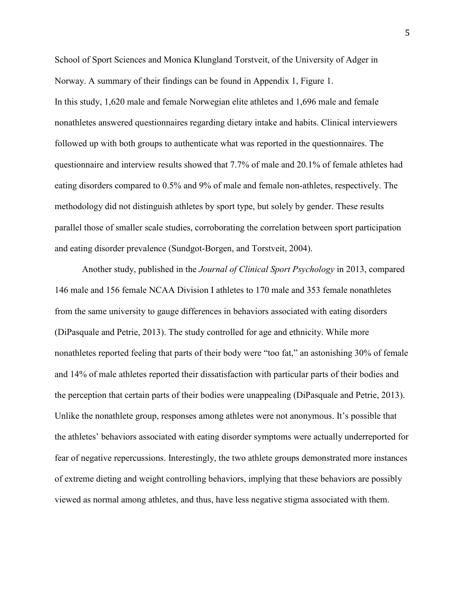School of Sport Sciences and Monica Klungland Torstveit, of the University of Adger in Norway. A summary of their findings can be found in Appendix 1, Figure 1. In this study, 1,620 male and female Norwegian elite athletes and 1,696 male and female nonathletes answered questionnaires regarding dietary intake and habits. Clinical interviewers followed up with both groups to authenticate what was reported in the questionnaires. The questionnaire and interview results showed that 7.7% of male and 20.1% of female athletes had eating disorders compared to 0.5% and 9% of male and female non-athletes, respectively. The methodology did not distinguish athletes by sport type, but solely by gender. These results parallel those of smaller scale studies, corroborating the correlation between sport participation and eating disorder prevalence (Sundgot-Borgen, and Torstveit, 2004).

Another study, published in the *Journal of Clinical Sport Psychology* in 2013, compared 146 male and 156 female NCAA Division I athletes to 170 male and 353 female nonathletes from the same university to gauge differences in behaviors associated with eating disorders (DiPasquale and Petrie, 2013). The study controlled for age and ethnicity. While more nonathletes reported feeling that parts of their body were "too fat," an astonishing 30% of female and 14% of male athletes reported their dissatisfaction with particular parts of their bodies and the perception that certain parts of their bodies were unappealing (DiPasquale and Petrie, 2013). Unlike the nonathlete group, responses among athletes were not anonymous. It's possible that the athletes' behaviors associated with eating disorder symptoms were actually underreported for fear of negative repercussions. Interestingly, the two athlete groups demonstrated more instances of extreme dieting and weight controlling behaviors, implying that these behaviors are possibly viewed as normal among athletes, and thus, have less negative stigma associated with them.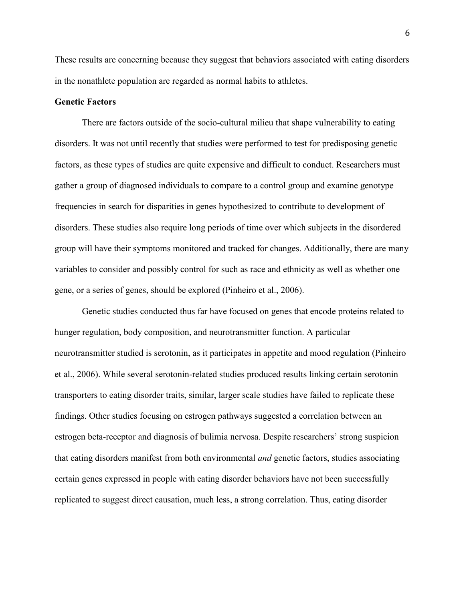These results are concerning because they suggest that behaviors associated with eating disorders in the nonathlete population are regarded as normal habits to athletes.

### **Genetic Factors**

There are factors outside of the socio-cultural milieu that shape vulnerability to eating disorders. It was not until recently that studies were performed to test for predisposing genetic factors, as these types of studies are quite expensive and difficult to conduct. Researchers must gather a group of diagnosed individuals to compare to a control group and examine genotype frequencies in search for disparities in genes hypothesized to contribute to development of disorders. These studies also require long periods of time over which subjects in the disordered group will have their symptoms monitored and tracked for changes. Additionally, there are many variables to consider and possibly control for such as race and ethnicity as well as whether one gene, or a series of genes, should be explored (Pinheiro et al., 2006).

Genetic studies conducted thus far have focused on genes that encode proteins related to hunger regulation, body composition, and neurotransmitter function. A particular neurotransmitter studied is serotonin, as it participates in appetite and mood regulation (Pinheiro et al., 2006). While several serotonin-related studies produced results linking certain serotonin transporters to eating disorder traits, similar, larger scale studies have failed to replicate these findings. Other studies focusing on estrogen pathways suggested a correlation between an estrogen beta-receptor and diagnosis of bulimia nervosa. Despite researchers' strong suspicion that eating disorders manifest from both environmental *and* genetic factors, studies associating certain genes expressed in people with eating disorder behaviors have not been successfully replicated to suggest direct causation, much less, a strong correlation. Thus, eating disorder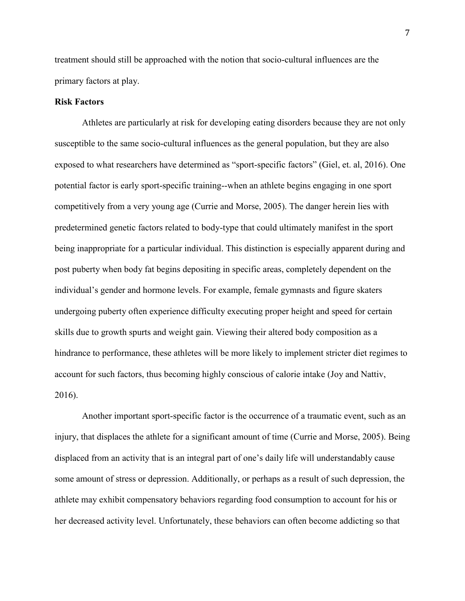treatment should still be approached with the notion that socio-cultural influences are the primary factors at play.

### **Risk Factors**

Athletes are particularly at risk for developing eating disorders because they are not only susceptible to the same socio-cultural influences as the general population, but they are also exposed to what researchers have determined as "sport-specific factors" (Giel, et. al, 2016). One potential factor is early sport-specific training--when an athlete begins engaging in one sport competitively from a very young age (Currie and Morse, 2005). The danger herein lies with predetermined genetic factors related to body-type that could ultimately manifest in the sport being inappropriate for a particular individual. This distinction is especially apparent during and post puberty when body fat begins depositing in specific areas, completely dependent on the individual's gender and hormone levels. For example, female gymnasts and figure skaters undergoing puberty often experience difficulty executing proper height and speed for certain skills due to growth spurts and weight gain. Viewing their altered body composition as a hindrance to performance, these athletes will be more likely to implement stricter diet regimes to account for such factors, thus becoming highly conscious of calorie intake (Joy and Nattiv, 2016).

Another important sport-specific factor is the occurrence of a traumatic event, such as an injury, that displaces the athlete for a significant amount of time (Currie and Morse, 2005). Being displaced from an activity that is an integral part of one's daily life will understandably cause some amount of stress or depression. Additionally, or perhaps as a result of such depression, the athlete may exhibit compensatory behaviors regarding food consumption to account for his or her decreased activity level. Unfortunately, these behaviors can often become addicting so that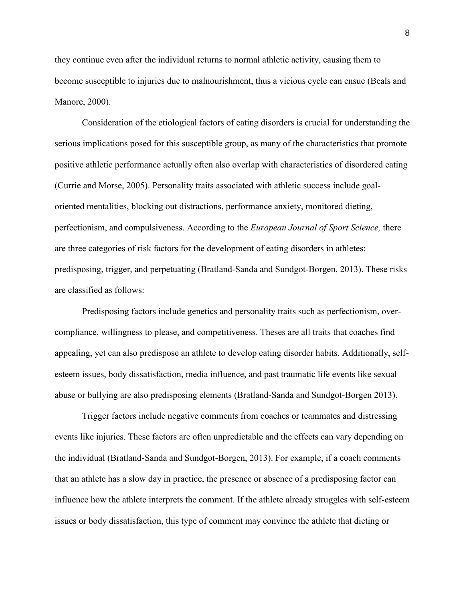they continue even after the individual returns to normal athletic activity, causing them to become susceptible to injuries due to malnourishment, thus a vicious cycle can ensue (Beals and Manore, 2000).

Consideration of the etiological factors of eating disorders is crucial for understanding the serious implications posed for this susceptible group, as many of the characteristics that promote positive athletic performance actually often also overlap with characteristics of disordered eating (Currie and Morse, 2005). Personality traits associated with athletic success include goaloriented mentalities, blocking out distractions, performance anxiety, monitored dieting, perfectionism, and compulsiveness. According to the *European Journal of Sport Science,* there are three categories of risk factors for the development of eating disorders in athletes: predisposing, trigger, and perpetuating (Bratland-Sanda and Sundgot-Borgen, 2013). These risks are classified as follows:

Predisposing factors include genetics and personality traits such as perfectionism, overcompliance, willingness to please, and competitiveness. Theses are all traits that coaches find appealing, yet can also predispose an athlete to develop eating disorder habits. Additionally, selfesteem issues, body dissatisfaction, media influence, and past traumatic life events like sexual abuse or bullying are also predisposing elements (Bratland-Sanda and Sundgot-Borgen 2013).

Trigger factors include negative comments from coaches or teammates and distressing events like injuries. These factors are often unpredictable and the effects can vary depending on the individual (Bratland-Sanda and Sundgot-Borgen, 2013). For example, if a coach comments that an athlete has a slow day in practice, the presence or absence of a predisposing factor can influence how the athlete interprets the comment. If the athlete already struggles with self-esteem issues or body dissatisfaction, this type of comment may convince the athlete that dieting or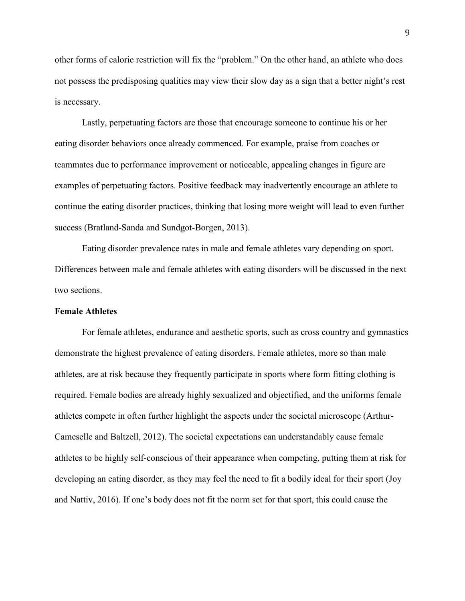other forms of calorie restriction will fix the "problem." On the other hand, an athlete who does not possess the predisposing qualities may view their slow day as a sign that a better night's rest is necessary.

Lastly, perpetuating factors are those that encourage someone to continue his or her eating disorder behaviors once already commenced. For example, praise from coaches or teammates due to performance improvement or noticeable, appealing changes in figure are examples of perpetuating factors. Positive feedback may inadvertently encourage an athlete to continue the eating disorder practices, thinking that losing more weight will lead to even further success (Bratland-Sanda and Sundgot-Borgen, 2013).

Eating disorder prevalence rates in male and female athletes vary depending on sport. Differences between male and female athletes with eating disorders will be discussed in the next two sections.

#### **Female Athletes**

For female athletes, endurance and aesthetic sports, such as cross country and gymnastics demonstrate the highest prevalence of eating disorders. Female athletes, more so than male athletes, are at risk because they frequently participate in sports where form fitting clothing is required. Female bodies are already highly sexualized and objectified, and the uniforms female athletes compete in often further highlight the aspects under the societal microscope (Arthur-Cameselle and Baltzell, 2012). The societal expectations can understandably cause female athletes to be highly self-conscious of their appearance when competing, putting them at risk for developing an eating disorder, as they may feel the need to fit a bodily ideal for their sport (Joy and Nattiv, 2016). If one's body does not fit the norm set for that sport, this could cause the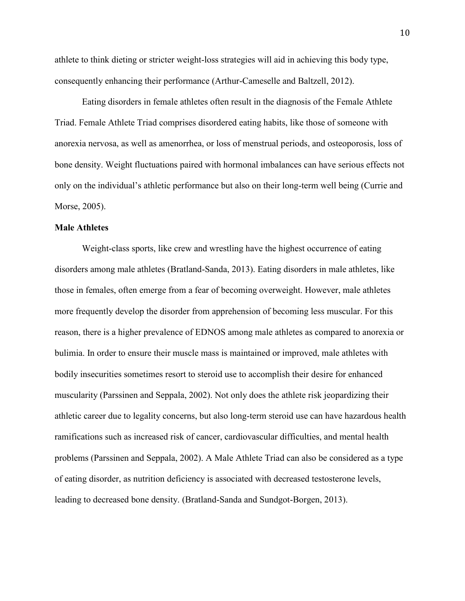athlete to think dieting or stricter weight-loss strategies will aid in achieving this body type, consequently enhancing their performance (Arthur-Cameselle and Baltzell, 2012).

Eating disorders in female athletes often result in the diagnosis of the Female Athlete Triad. Female Athlete Triad comprises disordered eating habits, like those of someone with anorexia nervosa, as well as amenorrhea, or loss of menstrual periods, and osteoporosis, loss of bone density. Weight fluctuations paired with hormonal imbalances can have serious effects not only on the individual's athletic performance but also on their long-term well being (Currie and Morse, 2005).

#### **Male Athletes**

Weight-class sports, like crew and wrestling have the highest occurrence of eating disorders among male athletes (Bratland-Sanda, 2013). Eating disorders in male athletes, like those in females, often emerge from a fear of becoming overweight. However, male athletes more frequently develop the disorder from apprehension of becoming less muscular. For this reason, there is a higher prevalence of EDNOS among male athletes as compared to anorexia or bulimia. In order to ensure their muscle mass is maintained or improved, male athletes with bodily insecurities sometimes resort to steroid use to accomplish their desire for enhanced muscularity (Parssinen and Seppala, 2002). Not only does the athlete risk jeopardizing their athletic career due to legality concerns, but also long-term steroid use can have hazardous health ramifications such as increased risk of cancer, cardiovascular difficulties, and mental health problems (Parssinen and Seppala, 2002). A Male Athlete Triad can also be considered as a type of eating disorder, as nutrition deficiency is associated with decreased testosterone levels, leading to decreased bone density. (Bratland-Sanda and Sundgot-Borgen, 2013).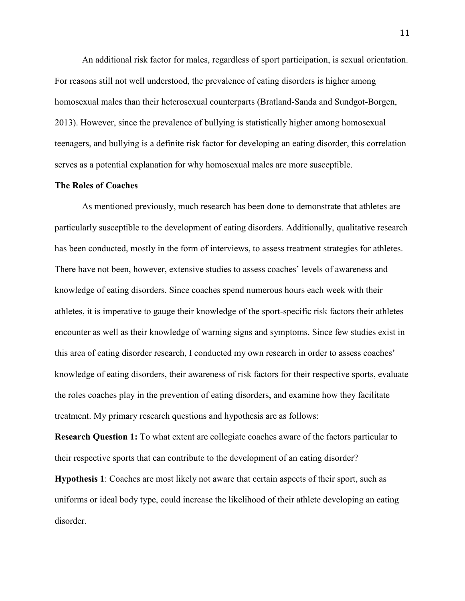An additional risk factor for males, regardless of sport participation, is sexual orientation. For reasons still not well understood, the prevalence of eating disorders is higher among homosexual males than their heterosexual counterparts (Bratland-Sanda and Sundgot-Borgen, 2013). However, since the prevalence of bullying is statistically higher among homosexual teenagers, and bullying is a definite risk factor for developing an eating disorder, this correlation serves as a potential explanation for why homosexual males are more susceptible.

### **The Roles of Coaches**

As mentioned previously, much research has been done to demonstrate that athletes are particularly susceptible to the development of eating disorders. Additionally, qualitative research has been conducted, mostly in the form of interviews, to assess treatment strategies for athletes. There have not been, however, extensive studies to assess coaches' levels of awareness and knowledge of eating disorders. Since coaches spend numerous hours each week with their athletes, it is imperative to gauge their knowledge of the sport-specific risk factors their athletes encounter as well as their knowledge of warning signs and symptoms. Since few studies exist in this area of eating disorder research, I conducted my own research in order to assess coaches' knowledge of eating disorders, their awareness of risk factors for their respective sports, evaluate the roles coaches play in the prevention of eating disorders, and examine how they facilitate treatment. My primary research questions and hypothesis are as follows:

**Research Question 1:** To what extent are collegiate coaches aware of the factors particular to their respective sports that can contribute to the development of an eating disorder?

**Hypothesis 1**: Coaches are most likely not aware that certain aspects of their sport, such as uniforms or ideal body type, could increase the likelihood of their athlete developing an eating disorder.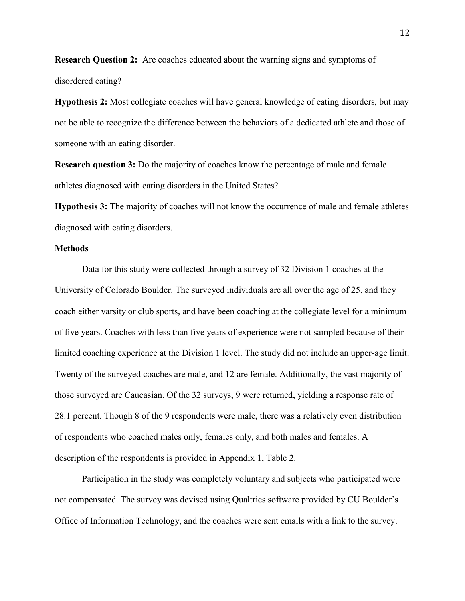**Research Question 2:** Are coaches educated about the warning signs and symptoms of disordered eating?

**Hypothesis 2:** Most collegiate coaches will have general knowledge of eating disorders, but may not be able to recognize the difference between the behaviors of a dedicated athlete and those of someone with an eating disorder.

**Research question 3:** Do the majority of coaches know the percentage of male and female athletes diagnosed with eating disorders in the United States?

**Hypothesis 3:** The majority of coaches will not know the occurrence of male and female athletes diagnosed with eating disorders.

#### **Methods**

Data for this study were collected through a survey of 32 Division 1 coaches at the University of Colorado Boulder. The surveyed individuals are all over the age of 25, and they coach either varsity or club sports, and have been coaching at the collegiate level for a minimum of five years. Coaches with less than five years of experience were not sampled because of their limited coaching experience at the Division 1 level. The study did not include an upper-age limit. Twenty of the surveyed coaches are male, and 12 are female. Additionally, the vast majority of those surveyed are Caucasian. Of the 32 surveys, 9 were returned, yielding a response rate of 28.1 percent. Though 8 of the 9 respondents were male, there was a relatively even distribution of respondents who coached males only, females only, and both males and females. A description of the respondents is provided in Appendix 1, Table 2.

Participation in the study was completely voluntary and subjects who participated were not compensated. The survey was devised using Qualtrics software provided by CU Boulder's Office of Information Technology, and the coaches were sent emails with a link to the survey.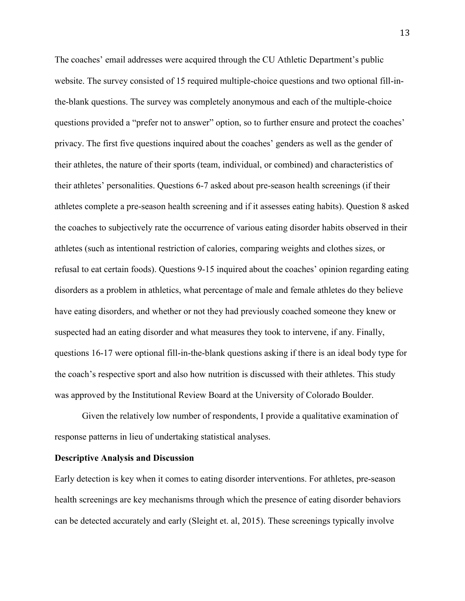The coaches' email addresses were acquired through the CU Athletic Department's public website. The survey consisted of 15 required multiple-choice questions and two optional fill-inthe-blank questions. The survey was completely anonymous and each of the multiple-choice questions provided a "prefer not to answer" option, so to further ensure and protect the coaches' privacy. The first five questions inquired about the coaches' genders as well as the gender of their athletes, the nature of their sports (team, individual, or combined) and characteristics of their athletes' personalities. Questions 6-7 asked about pre-season health screenings (if their athletes complete a pre-season health screening and if it assesses eating habits). Question 8 asked the coaches to subjectively rate the occurrence of various eating disorder habits observed in their athletes (such as intentional restriction of calories, comparing weights and clothes sizes, or refusal to eat certain foods). Questions 9-15 inquired about the coaches' opinion regarding eating disorders as a problem in athletics, what percentage of male and female athletes do they believe have eating disorders, and whether or not they had previously coached someone they knew or suspected had an eating disorder and what measures they took to intervene, if any. Finally, questions 16-17 were optional fill-in-the-blank questions asking if there is an ideal body type for the coach's respective sport and also how nutrition is discussed with their athletes. This study was approved by the Institutional Review Board at the University of Colorado Boulder.

Given the relatively low number of respondents, I provide a qualitative examination of response patterns in lieu of undertaking statistical analyses.

#### **Descriptive Analysis and Discussion**

Early detection is key when it comes to eating disorder interventions. For athletes, pre-season health screenings are key mechanisms through which the presence of eating disorder behaviors can be detected accurately and early (Sleight et. al, 2015). These screenings typically involve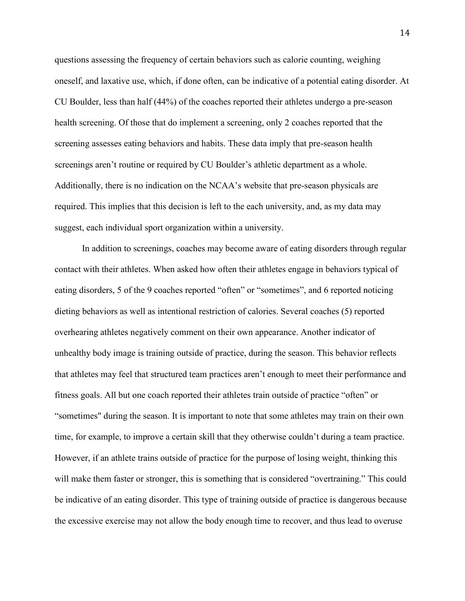questions assessing the frequency of certain behaviors such as calorie counting, weighing oneself, and laxative use, which, if done often, can be indicative of a potential eating disorder. At CU Boulder, less than half (44%) of the coaches reported their athletes undergo a pre-season health screening. Of those that do implement a screening, only 2 coaches reported that the screening assesses eating behaviors and habits. These data imply that pre-season health screenings aren't routine or required by CU Boulder's athletic department as a whole. Additionally, there is no indication on the NCAA's website that pre-season physicals are required. This implies that this decision is left to the each university, and, as my data may suggest, each individual sport organization within a university.

In addition to screenings, coaches may become aware of eating disorders through regular contact with their athletes. When asked how often their athletes engage in behaviors typical of eating disorders, 5 of the 9 coaches reported "often" or "sometimes", and 6 reported noticing dieting behaviors as well as intentional restriction of calories. Several coaches (5) reported overhearing athletes negatively comment on their own appearance. Another indicator of unhealthy body image is training outside of practice, during the season. This behavior reflects that athletes may feel that structured team practices aren't enough to meet their performance and fitness goals. All but one coach reported their athletes train outside of practice "often" or "sometimes" during the season. It is important to note that some athletes may train on their own time, for example, to improve a certain skill that they otherwise couldn't during a team practice. However, if an athlete trains outside of practice for the purpose of losing weight, thinking this will make them faster or stronger, this is something that is considered "overtraining." This could be indicative of an eating disorder. This type of training outside of practice is dangerous because the excessive exercise may not allow the body enough time to recover, and thus lead to overuse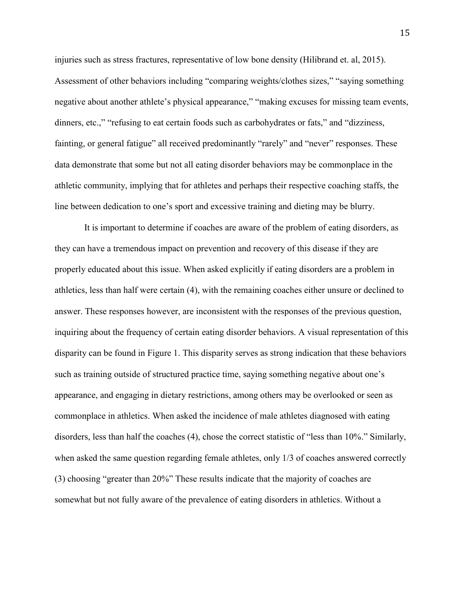injuries such as stress fractures, representative of low bone density (Hilibrand et. al, 2015). Assessment of other behaviors including "comparing weights/clothes sizes," "saying something negative about another athlete's physical appearance," "making excuses for missing team events, dinners, etc.," "refusing to eat certain foods such as carbohydrates or fats," and "dizziness, fainting, or general fatigue" all received predominantly "rarely" and "never" responses. These data demonstrate that some but not all eating disorder behaviors may be commonplace in the athletic community, implying that for athletes and perhaps their respective coaching staffs, the line between dedication to one's sport and excessive training and dieting may be blurry.

It is important to determine if coaches are aware of the problem of eating disorders, as they can have a tremendous impact on prevention and recovery of this disease if they are properly educated about this issue. When asked explicitly if eating disorders are a problem in athletics, less than half were certain (4), with the remaining coaches either unsure or declined to answer. These responses however, are inconsistent with the responses of the previous question, inquiring about the frequency of certain eating disorder behaviors. A visual representation of this disparity can be found in Figure 1. This disparity serves as strong indication that these behaviors such as training outside of structured practice time, saying something negative about one's appearance, and engaging in dietary restrictions, among others may be overlooked or seen as commonplace in athletics. When asked the incidence of male athletes diagnosed with eating disorders, less than half the coaches (4), chose the correct statistic of "less than 10%." Similarly, when asked the same question regarding female athletes, only 1/3 of coaches answered correctly (3) choosing "greater than 20%" These results indicate that the majority of coaches are somewhat but not fully aware of the prevalence of eating disorders in athletics. Without a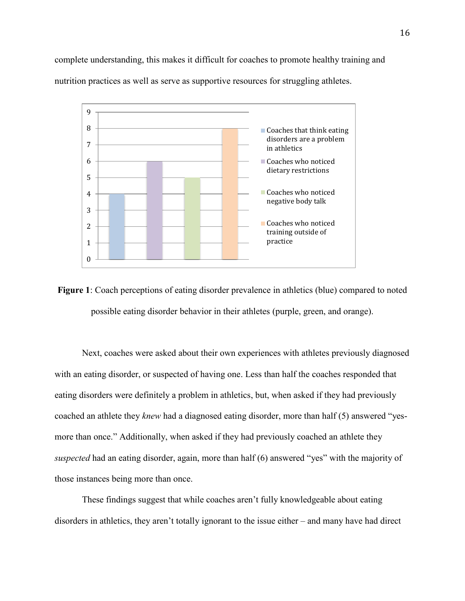complete understanding, this makes it difficult for coaches to promote healthy training and nutrition practices as well as serve as supportive resources for struggling athletes.



**Figure 1**: Coach perceptions of eating disorder prevalence in athletics (blue) compared to noted possible eating disorder behavior in their athletes (purple, green, and orange).

Next, coaches were asked about their own experiences with athletes previously diagnosed with an eating disorder, or suspected of having one. Less than half the coaches responded that eating disorders were definitely a problem in athletics, but, when asked if they had previously coached an athlete they *knew* had a diagnosed eating disorder, more than half (5) answered "yesmore than once." Additionally, when asked if they had previously coached an athlete they *suspected* had an eating disorder, again, more than half (6) answered "yes" with the majority of those instances being more than once.

These findings suggest that while coaches aren't fully knowledgeable about eating disorders in athletics, they aren't totally ignorant to the issue either – and many have had direct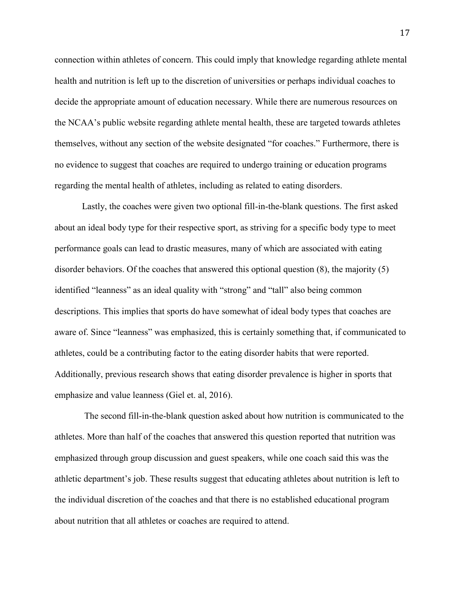connection within athletes of concern. This could imply that knowledge regarding athlete mental health and nutrition is left up to the discretion of universities or perhaps individual coaches to decide the appropriate amount of education necessary. While there are numerous resources on the NCAA's public website regarding athlete mental health, these are targeted towards athletes themselves, without any section of the website designated "for coaches." Furthermore, there is no evidence to suggest that coaches are required to undergo training or education programs regarding the mental health of athletes, including as related to eating disorders.

Lastly, the coaches were given two optional fill-in-the-blank questions. The first asked about an ideal body type for their respective sport, as striving for a specific body type to meet performance goals can lead to drastic measures, many of which are associated with eating disorder behaviors. Of the coaches that answered this optional question (8), the majority (5) identified "leanness" as an ideal quality with "strong" and "tall" also being common descriptions. This implies that sports do have somewhat of ideal body types that coaches are aware of. Since "leanness" was emphasized, this is certainly something that, if communicated to athletes, could be a contributing factor to the eating disorder habits that were reported. Additionally, previous research shows that eating disorder prevalence is higher in sports that emphasize and value leanness (Giel et. al, 2016).

The second fill-in-the-blank question asked about how nutrition is communicated to the athletes. More than half of the coaches that answered this question reported that nutrition was emphasized through group discussion and guest speakers, while one coach said this was the athletic department's job. These results suggest that educating athletes about nutrition is left to the individual discretion of the coaches and that there is no established educational program about nutrition that all athletes or coaches are required to attend.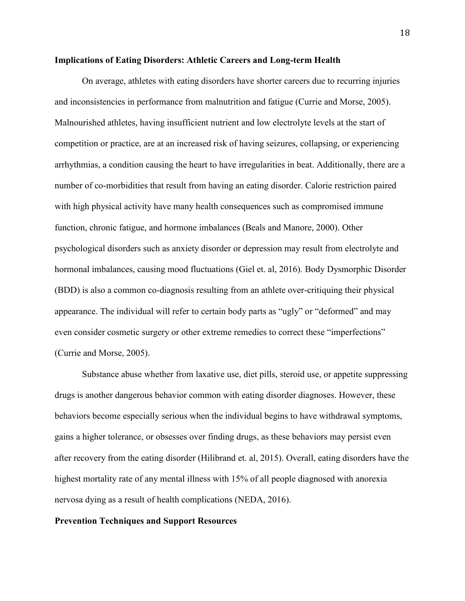#### **Implications of Eating Disorders: Athletic Careers and Long-term Health**

On average, athletes with eating disorders have shorter careers due to recurring injuries and inconsistencies in performance from malnutrition and fatigue (Currie and Morse, 2005). Malnourished athletes, having insufficient nutrient and low electrolyte levels at the start of competition or practice, are at an increased risk of having seizures, collapsing, or experiencing arrhythmias, a condition causing the heart to have irregularities in beat. Additionally, there are a number of co-morbidities that result from having an eating disorder. Calorie restriction paired with high physical activity have many health consequences such as compromised immune function, chronic fatigue, and hormone imbalances (Beals and Manore, 2000). Other psychological disorders such as anxiety disorder or depression may result from electrolyte and hormonal imbalances, causing mood fluctuations (Giel et. al, 2016). Body Dysmorphic Disorder (BDD) is also a common co-diagnosis resulting from an athlete over-critiquing their physical appearance. The individual will refer to certain body parts as "ugly" or "deformed" and may even consider cosmetic surgery or other extreme remedies to correct these "imperfections" (Currie and Morse, 2005).

Substance abuse whether from laxative use, diet pills, steroid use, or appetite suppressing drugs is another dangerous behavior common with eating disorder diagnoses. However, these behaviors become especially serious when the individual begins to have withdrawal symptoms, gains a higher tolerance, or obsesses over finding drugs, as these behaviors may persist even after recovery from the eating disorder (Hilibrand et. al, 2015). Overall, eating disorders have the highest mortality rate of any mental illness with 15% of all people diagnosed with anorexia nervosa dying as a result of health complications (NEDA, 2016).

#### **Prevention Techniques and Support Resources**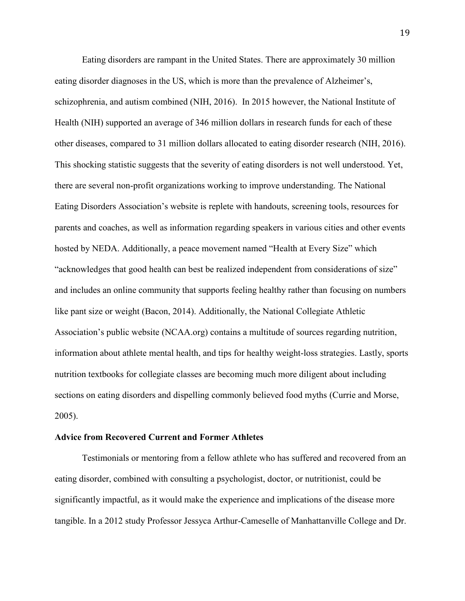Eating disorders are rampant in the United States. There are approximately 30 million eating disorder diagnoses in the US, which is more than the prevalence of Alzheimer's, schizophrenia, and autism combined (NIH, 2016). In 2015 however, the National Institute of Health (NIH) supported an average of 346 million dollars in research funds for each of these other diseases, compared to 31 million dollars allocated to eating disorder research (NIH, 2016). This shocking statistic suggests that the severity of eating disorders is not well understood. Yet, there are several non-profit organizations working to improve understanding. The National Eating Disorders Association's website is replete with handouts, screening tools, resources for parents and coaches, as well as information regarding speakers in various cities and other events hosted by NEDA. Additionally, a peace movement named "Health at Every Size" which "acknowledges that good health can best be realized independent from considerations of size" and includes an online community that supports feeling healthy rather than focusing on numbers like pant size or weight (Bacon, 2014). Additionally, the National Collegiate Athletic Association's public website (NCAA.org) contains a multitude of sources regarding nutrition, information about athlete mental health, and tips for healthy weight-loss strategies. Lastly, sports nutrition textbooks for collegiate classes are becoming much more diligent about including sections on eating disorders and dispelling commonly believed food myths (Currie and Morse, 2005).

#### **Advice from Recovered Current and Former Athletes**

Testimonials or mentoring from a fellow athlete who has suffered and recovered from an eating disorder, combined with consulting a psychologist, doctor, or nutritionist, could be significantly impactful, as it would make the experience and implications of the disease more tangible. In a 2012 study Professor Jessyca Arthur-Cameselle of Manhattanville College and Dr.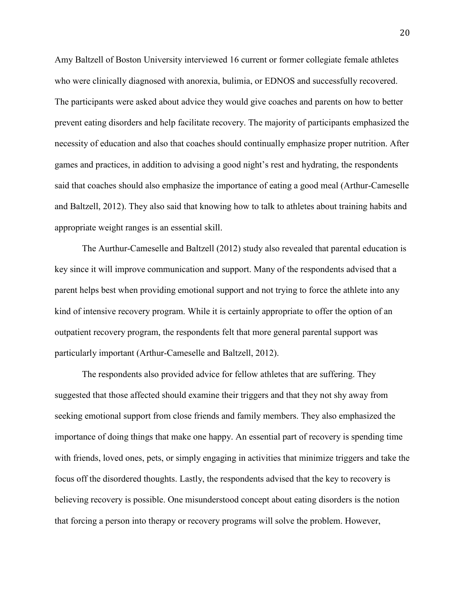Amy Baltzell of Boston University interviewed 16 current or former collegiate female athletes who were clinically diagnosed with anorexia, bulimia, or EDNOS and successfully recovered. The participants were asked about advice they would give coaches and parents on how to better prevent eating disorders and help facilitate recovery. The majority of participants emphasized the necessity of education and also that coaches should continually emphasize proper nutrition. After games and practices, in addition to advising a good night's rest and hydrating, the respondents said that coaches should also emphasize the importance of eating a good meal (Arthur-Cameselle and Baltzell, 2012). They also said that knowing how to talk to athletes about training habits and appropriate weight ranges is an essential skill.

The Aurthur-Cameselle and Baltzell (2012) study also revealed that parental education is key since it will improve communication and support. Many of the respondents advised that a parent helps best when providing emotional support and not trying to force the athlete into any kind of intensive recovery program. While it is certainly appropriate to offer the option of an outpatient recovery program, the respondents felt that more general parental support was particularly important (Arthur-Cameselle and Baltzell, 2012).

The respondents also provided advice for fellow athletes that are suffering. They suggested that those affected should examine their triggers and that they not shy away from seeking emotional support from close friends and family members. They also emphasized the importance of doing things that make one happy. An essential part of recovery is spending time with friends, loved ones, pets, or simply engaging in activities that minimize triggers and take the focus off the disordered thoughts. Lastly, the respondents advised that the key to recovery is believing recovery is possible. One misunderstood concept about eating disorders is the notion that forcing a person into therapy or recovery programs will solve the problem. However,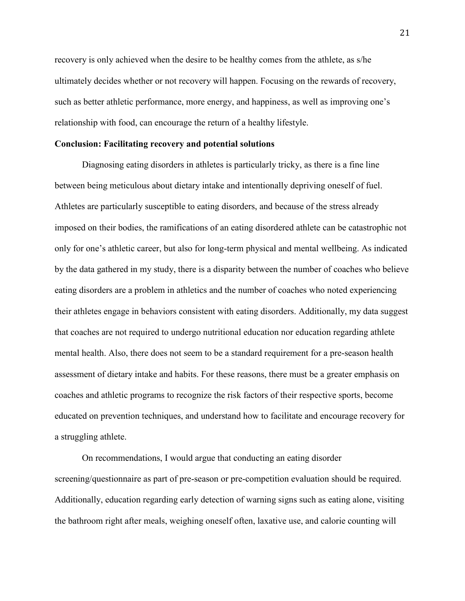recovery is only achieved when the desire to be healthy comes from the athlete, as s/he ultimately decides whether or not recovery will happen. Focusing on the rewards of recovery, such as better athletic performance, more energy, and happiness, as well as improving one's relationship with food, can encourage the return of a healthy lifestyle.

#### **Conclusion: Facilitating recovery and potential solutions**

Diagnosing eating disorders in athletes is particularly tricky, as there is a fine line between being meticulous about dietary intake and intentionally depriving oneself of fuel. Athletes are particularly susceptible to eating disorders, and because of the stress already imposed on their bodies, the ramifications of an eating disordered athlete can be catastrophic not only for one's athletic career, but also for long-term physical and mental wellbeing. As indicated by the data gathered in my study, there is a disparity between the number of coaches who believe eating disorders are a problem in athletics and the number of coaches who noted experiencing their athletes engage in behaviors consistent with eating disorders. Additionally, my data suggest that coaches are not required to undergo nutritional education nor education regarding athlete mental health. Also, there does not seem to be a standard requirement for a pre-season health assessment of dietary intake and habits. For these reasons, there must be a greater emphasis on coaches and athletic programs to recognize the risk factors of their respective sports, become educated on prevention techniques, and understand how to facilitate and encourage recovery for a struggling athlete.

On recommendations, I would argue that conducting an eating disorder screening/questionnaire as part of pre-season or pre-competition evaluation should be required. Additionally, education regarding early detection of warning signs such as eating alone, visiting the bathroom right after meals, weighing oneself often, laxative use, and calorie counting will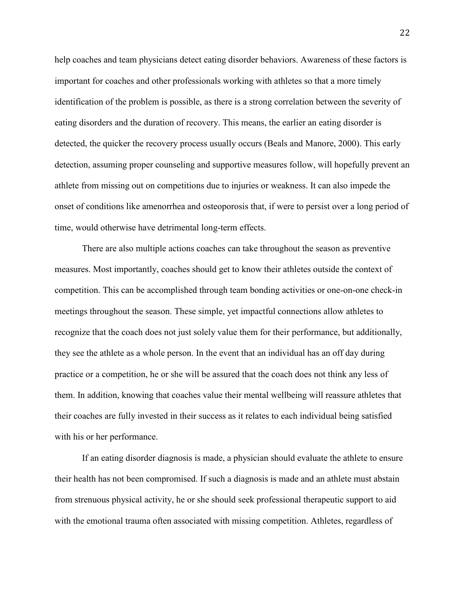help coaches and team physicians detect eating disorder behaviors. Awareness of these factors is important for coaches and other professionals working with athletes so that a more timely identification of the problem is possible, as there is a strong correlation between the severity of eating disorders and the duration of recovery. This means, the earlier an eating disorder is detected, the quicker the recovery process usually occurs (Beals and Manore, 2000). This early detection, assuming proper counseling and supportive measures follow, will hopefully prevent an athlete from missing out on competitions due to injuries or weakness. It can also impede the onset of conditions like amenorrhea and osteoporosis that, if were to persist over a long period of time, would otherwise have detrimental long-term effects.

There are also multiple actions coaches can take throughout the season as preventive measures. Most importantly, coaches should get to know their athletes outside the context of competition. This can be accomplished through team bonding activities or one-on-one check-in meetings throughout the season. These simple, yet impactful connections allow athletes to recognize that the coach does not just solely value them for their performance, but additionally, they see the athlete as a whole person. In the event that an individual has an off day during practice or a competition, he or she will be assured that the coach does not think any less of them. In addition, knowing that coaches value their mental wellbeing will reassure athletes that their coaches are fully invested in their success as it relates to each individual being satisfied with his or her performance.

If an eating disorder diagnosis is made, a physician should evaluate the athlete to ensure their health has not been compromised. If such a diagnosis is made and an athlete must abstain from strenuous physical activity, he or she should seek professional therapeutic support to aid with the emotional trauma often associated with missing competition. Athletes, regardless of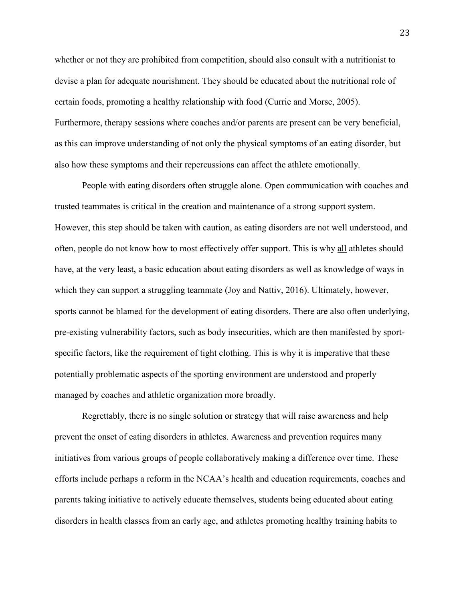whether or not they are prohibited from competition, should also consult with a nutritionist to devise a plan for adequate nourishment. They should be educated about the nutritional role of certain foods, promoting a healthy relationship with food (Currie and Morse, 2005). Furthermore, therapy sessions where coaches and/or parents are present can be very beneficial, as this can improve understanding of not only the physical symptoms of an eating disorder, but also how these symptoms and their repercussions can affect the athlete emotionally.

People with eating disorders often struggle alone. Open communication with coaches and trusted teammates is critical in the creation and maintenance of a strong support system. However, this step should be taken with caution, as eating disorders are not well understood, and often, people do not know how to most effectively offer support. This is why all athletes should have, at the very least, a basic education about eating disorders as well as knowledge of ways in which they can support a struggling teammate (Joy and Nattiv, 2016). Ultimately, however, sports cannot be blamed for the development of eating disorders. There are also often underlying, pre-existing vulnerability factors, such as body insecurities, which are then manifested by sportspecific factors, like the requirement of tight clothing. This is why it is imperative that these potentially problematic aspects of the sporting environment are understood and properly managed by coaches and athletic organization more broadly.

Regrettably, there is no single solution or strategy that will raise awareness and help prevent the onset of eating disorders in athletes. Awareness and prevention requires many initiatives from various groups of people collaboratively making a difference over time. These efforts include perhaps a reform in the NCAA's health and education requirements, coaches and parents taking initiative to actively educate themselves, students being educated about eating disorders in health classes from an early age, and athletes promoting healthy training habits to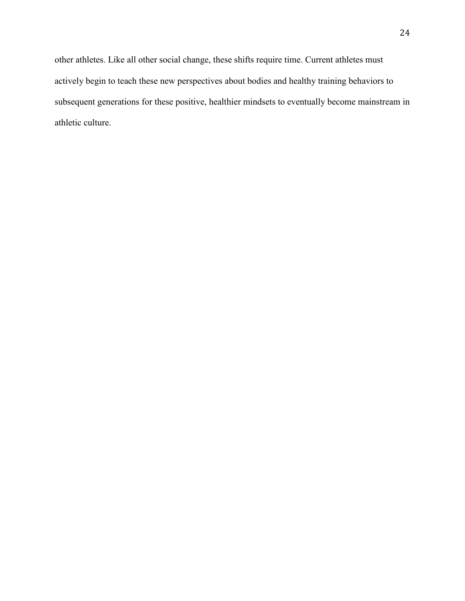other athletes. Like all other social change, these shifts require time. Current athletes must actively begin to teach these new perspectives about bodies and healthy training behaviors to subsequent generations for these positive, healthier mindsets to eventually become mainstream in athletic culture.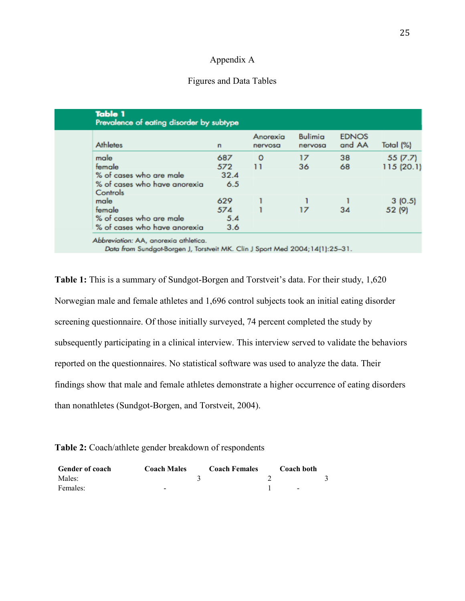#### Appendix A

#### Figures and Data Tables

| <b>Athletes</b>                          | n    | Anorexia<br>nervosa | <b>Bulimia</b><br>nervosa | <b>EDNOS</b><br>and AA | Total (%)  |
|------------------------------------------|------|---------------------|---------------------------|------------------------|------------|
| male                                     | 687  | 0                   | 17                        | 38                     | 55(7.7)    |
| female                                   | 572  | 11                  | 36                        | 68                     | 115 (20.1) |
| % of cases who are male                  | 32.4 |                     |                           |                        |            |
| % of cases who have anorexia<br>Controls | 6.5  |                     |                           |                        |            |
| male                                     | 629  |                     |                           |                        | 3(0.5)     |
| female                                   | 574  |                     | 17                        | 34                     | 52 (9)     |
| % of cases who are male                  | 5.4  |                     |                           |                        |            |
| % of cases who have anorexia             | 3.6  |                     |                           |                        |            |

Data from Sundgot-Borgen J, Torstveit MK. Clin J Sport Med 2004;14(1):25-31.

**Table 1:** This is a summary of Sundgot-Borgen and Torstveit's data. For their study, 1,620 Norwegian male and female athletes and 1,696 control subjects took an initial eating disorder screening questionnaire. Of those initially surveyed, 74 percent completed the study by subsequently participating in a clinical interview. This interview served to validate the behaviors reported on the questionnaires. No statistical software was used to analyze the data. Their findings show that male and female athletes demonstrate a higher occurrence of eating disorders than nonathletes (Sundgot-Borgen, and Torstveit, 2004).

**Table 2:** Coach/athlete gender breakdown of respondents

| <b>Gender of coach</b> | <b>Coach Males</b> | <b>Coach Females</b> | Coach both |  |
|------------------------|--------------------|----------------------|------------|--|
| Males:                 |                    |                      |            |  |
| Females:               | -                  |                      | $\sim$     |  |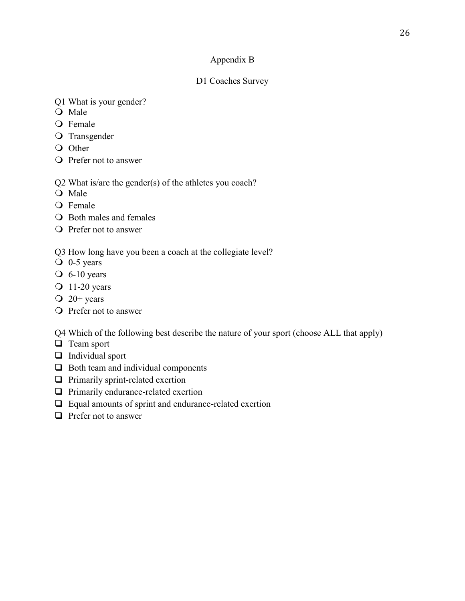## Appendix B

## D1 Coaches Survey

- Q1 What is your gender?
- O Male
- O Female
- O Transgender
- O Other
- Prefer not to answer
- Q2 What is/are the gender(s) of the athletes you coach?
- O Male
- O Female
- Both males and females
- O Prefer not to answer

Q3 How long have you been a coach at the collegiate level?

- $\overline{O}$  0-5 years
- $\overline{O}$  6-10 years
- $Q$  11-20 years
- $Q$  20+ years
- O Prefer not to answer

Q4 Which of the following best describe the nature of your sport (choose ALL that apply)

- $\Box$  Team sport
- $\Box$  Individual sport
- $\Box$  Both team and individual components
- $\Box$  Primarily sprint-related exertion
- $\Box$  Primarily endurance-related exertion
- $\Box$  Equal amounts of sprint and endurance-related exertion
- $\Box$  Prefer not to answer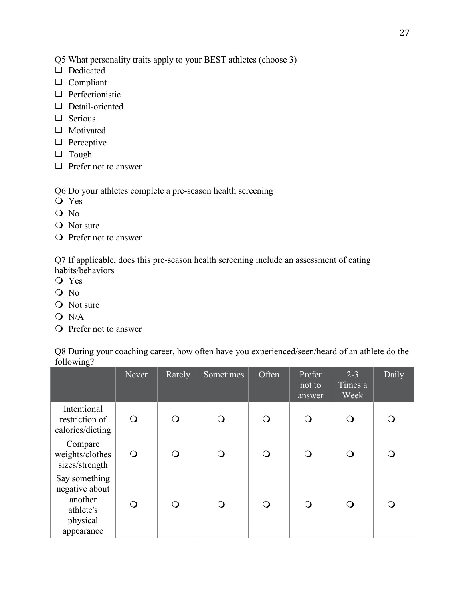- Q5 What personality traits apply to your BEST athletes (choose 3)
- Dedicated
- **Q** Compliant
- $\Box$  Perfectionistic
- Detail-oriented
- $\Box$  Serious
- **Q** Motivated
- $\Box$  Perceptive
- **Q** Tough
- $\Box$  Prefer not to answer

Q6 Do your athletes complete a pre-season health screening

- Yes
- O No
- O Not sure
- Prefer not to answer

Q7 If applicable, does this pre-season health screening include an assessment of eating habits/behaviors

- Yes
- O No
- O Not sure
- $O N/A$
- Prefer not to answer

Q8 During your coaching career, how often have you experienced/seen/heard of an athlete do the following?

|                                                                                   | Never      | Rarely | Sometimes  | Often      | Prefer<br>not to<br>answer | $2 - 3$<br>Times a<br>Week | Daily            |
|-----------------------------------------------------------------------------------|------------|--------|------------|------------|----------------------------|----------------------------|------------------|
| Intentional<br>restriction of<br>calories/dieting                                 | $\bigcirc$ | ∩      | $\bigcirc$ | $\bigcirc$ | $\bigcirc$                 | $\bigcirc$                 | $\Omega$         |
| Compare<br>weights/clothes<br>sizes/strength                                      | ∩          | ⌒      | ∩          | ∩          | ∩                          | ∩                          | Ω                |
| Say something<br>negative about<br>another<br>athlete's<br>physical<br>appearance | $\bigcirc$ | ∩      | ∩          | O          | ∩                          | ∩                          | $\left( \right)$ |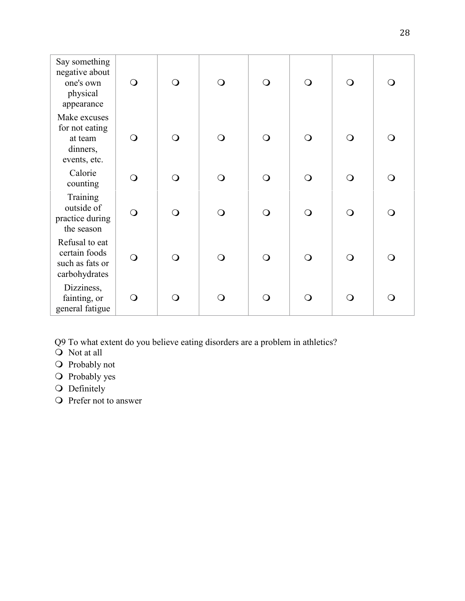| Say something<br>negative about<br>one's own<br>physical<br>appearance | $\bigcirc$ | $\Omega$ | $\Omega$       | $\bigcirc$ | ⌒        | $\mathsf{O}$ | ∩   |
|------------------------------------------------------------------------|------------|----------|----------------|------------|----------|--------------|-----|
| Make excuses<br>for not eating<br>at team<br>dinners,<br>events, etc.  | $\bigcirc$ | $\Omega$ | $\overline{O}$ | $\bigcirc$ | ∩        | $\Omega$     | ∩   |
| Calorie<br>counting                                                    | $\bigcirc$ | ∩        | $\overline{O}$ | $\bigcirc$ | $\Omega$ | ∩            | ∩   |
| Training<br>outside of<br>practice during<br>the season                | $\bigcirc$ | ∩        | $\Omega$       | $\bigcirc$ | ∩        | ∩            | ∩   |
| Refusal to eat<br>certain foods<br>such as fats or<br>carbohydrates    | $\bigcirc$ | $\Omega$ | $\Omega$       | $\bigcirc$ | ∩        | ∩            | ∩   |
| Dizziness,<br>fainting, or<br>general fatigue                          | $\bigcirc$ | ∩        | $\Omega$       | $\bigcirc$ |          | ∩            | ( ) |

Q9 To what extent do you believe eating disorders are a problem in athletics?

- Not at all
- O Probably not
- O Probably yes
- O Definitely
- O Prefer not to answer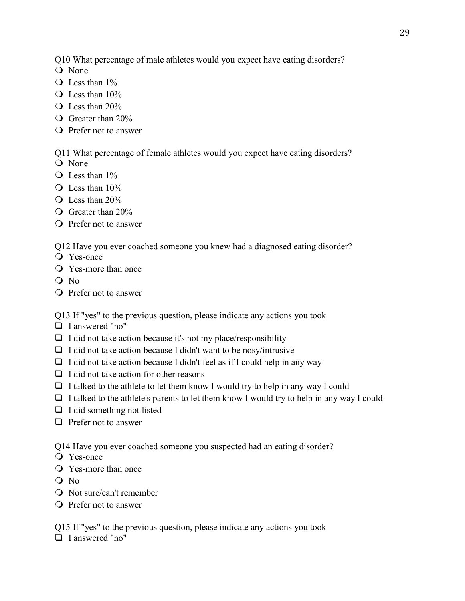Q10 What percentage of male athletes would you expect have eating disorders?

- Q None
- Q Less than 1%
- Q Less than 10%
- $\bigcirc$  Less than 20%
- Greater than 20%
- Prefer not to answer

Q11 What percentage of female athletes would you expect have eating disorders?

- O None
- Q Less than  $1\%$
- $\bigcirc$  Less than 10%
- $\bigcirc$  Less than 20%
- Greater than 20%
- Prefer not to answer

Q12 Have you ever coached someone you knew had a diagnosed eating disorder?

- Yes-once
- Yes-more than once
- O No
- O Prefer not to answer

Q13 If "yes" to the previous question, please indicate any actions you took

- □ I answered "no"
- $\Box$  I did not take action because it's not my place/responsibility
- $\Box$  I did not take action because I didn't want to be nosy/intrusive
- $\Box$  I did not take action because I didn't feel as if I could help in any way
- $\Box$  I did not take action for other reasons
- $\Box$  I talked to the athlete to let them know I would try to help in any way I could
- $\Box$  I talked to the athlete's parents to let them know I would try to help in any way I could
- $\Box$  I did something not listed
- $\Box$  Prefer not to answer

Q14 Have you ever coached someone you suspected had an eating disorder?

- Yes-once
- Yes-more than once
- O No
- Not sure/can't remember
- Prefer not to answer

Q15 If "yes" to the previous question, please indicate any actions you took

□ I answered "no"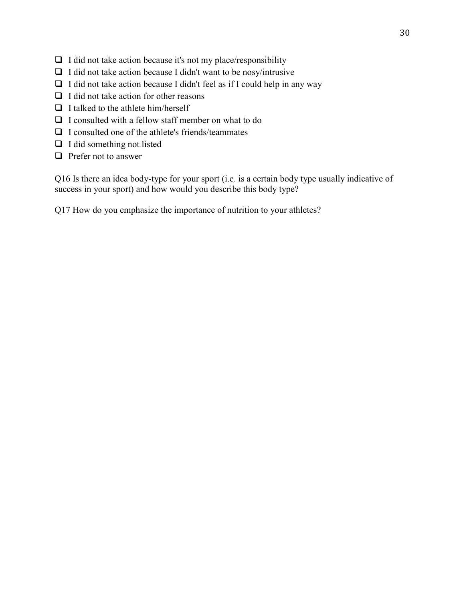- $\Box$  I did not take action because it's not my place/responsibility
- $\Box$  I did not take action because I didn't want to be nosy/intrusive
- $\Box$  I did not take action because I didn't feel as if I could help in any way
- $\Box$  I did not take action for other reasons
- $\Box$  I talked to the athlete him/herself
- $\Box$  I consulted with a fellow staff member on what to do
- $\Box$  I consulted one of the athlete's friends/teammates
- $\Box$  I did something not listed
- $\Box$  Prefer not to answer

Q16 Is there an idea body-type for your sport (i.e. is a certain body type usually indicative of success in your sport) and how would you describe this body type?

Q17 How do you emphasize the importance of nutrition to your athletes?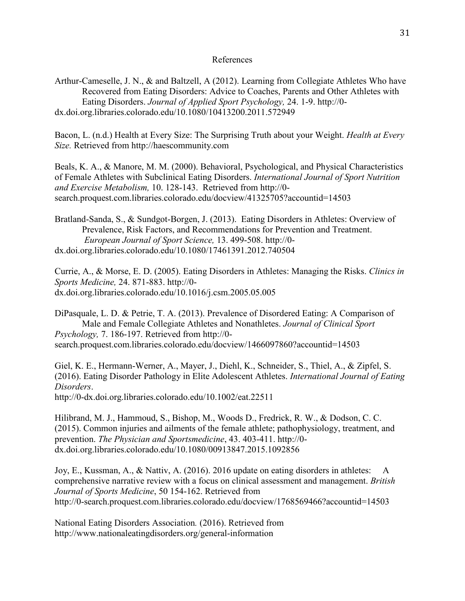#### References

Arthur-Cameselle, J. N., & and Baltzell, A (2012). Learning from Collegiate Athletes Who have Recovered from Eating Disorders: Advice to Coaches, Parents and Other Athletes with Eating Disorders. *Journal of Applied Sport Psychology,* 24. 1-9. [http://0](http://0-dx.doi.org.libraries.colorado.edu/10.1080/10413200.2011.572949) [dx.doi.org.libraries.colorado.edu/10.1080/10413200.2011.572949](http://0-dx.doi.org.libraries.colorado.edu/10.1080/10413200.2011.572949)

Bacon, L. (n.d.) Health at Every Size: The Surprising Truth about your Weight. *Health at Every Size.* Retrieved from http://haescommunity.com

Beals, K. A., & Manore, M. M. (2000). Behavioral, Psychological, and Physical Characteristics of Female Athletes with Subclinical Eating Disorders. *International Journal of Sport Nutrition and Exercise Metabolism,* 10. 128-143. Retrieved from http://0 search.proquest.com.libraries.colorado.edu/docview/41325705?accountid=14503

Bratland-Sanda, S., & Sundgot-Borgen, J. (2013). Eating Disorders in Athletes: Overview of Prevalence, Risk Factors, and Recommendations for Prevention and Treatment. *European Journal of Sport Science,* 13. 499-508. http://0 dx.doi.org.libraries.colorado.edu/10.1080/17461391.2012.740504

Currie, A., & Morse, E. D. (2005). Eating Disorders in Athletes: Managing the Risks. *Clinics in Sports Medicine,* 24. 871-883. http://0 dx.doi.org.libraries.colorado.edu/10.1016/j.csm.2005.05.005

DiPasquale, L. D. & Petrie, T. A. (2013). Prevalence of Disordered Eating: A Comparison of Male and Female Collegiate Athletes and Nonathletes. *Journal of Clinical Sport Psychology,* 7. 186-197. Retrieved from http://0 search.proquest.com.libraries.colorado.edu/docview/1466097860?accountid=14503

Giel, K. E., Hermann-Werner, A., Mayer, J., Diehl, K., Schneider, S., Thiel, A., & Zipfel, S. (2016). Eating Disorder Pathology in Elite Adolescent Athletes. *International Journal of Eating Disorders*.

<http://0-dx.doi.org.libraries.colorado.edu/10.1002/eat.22511>

Hilibrand, M. J., Hammoud, S., Bishop, M., Woods D., Fredrick, R. W., & Dodson, C. C. (2015). Common injuries and ailments of the female athlete; pathophysiology, treatment, and prevention. *The Physician and Sportsmedicine*, 43. 403-411. http://0 dx.doi.org.libraries.colorado.edu/10.1080/00913847.2015.1092856

Joy, E., Kussman, A., & Nattiv, A. (2016). 2016 update on eating disorders in athletes: A comprehensive narrative review with a focus on clinical assessment and management. *British Journal of Sports Medicine*, 50 154-162. Retrieved from http://0-search.proquest.com.libraries.colorado.edu/docview/1768569466?accountid=14503

National Eating Disorders Association*.* (2016). Retrieved from http://www.nationaleatingdisorders.org/general-information